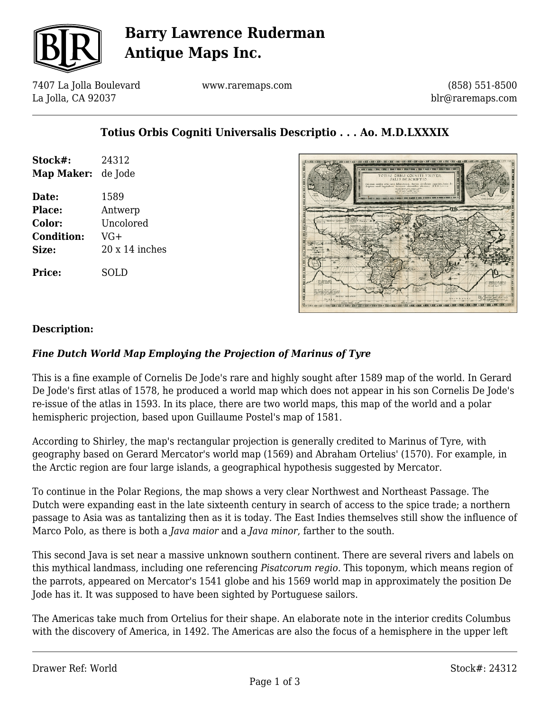

# **Barry Lawrence Ruderman Antique Maps Inc.**

7407 La Jolla Boulevard La Jolla, CA 92037

www.raremaps.com

(858) 551-8500 blr@raremaps.com

## **Totius Orbis Cogniti Universalis Descriptio . . . Ao. M.D.LXXXIX**

| Stock#:           | 24312                 |
|-------------------|-----------------------|
| <b>Map Maker:</b> | de Jode               |
| Date:             | 1589                  |
| Place:            | Antwerp               |
| Color:            | Uncolored             |
| <b>Condition:</b> | $VG+$                 |
| Size:             | $20 \times 14$ inches |
| Price:            | SOLD                  |



#### **Description:**

### *Fine Dutch World Map Employing the Projection of Marinus of Tyre*

This is a fine example of Cornelis De Jode's rare and highly sought after 1589 map of the world. In Gerard De Jode's first atlas of 1578, he produced a world map which does not appear in his son Cornelis De Jode's re-issue of the atlas in 1593. In its place, there are two world maps, this map of the world and a polar hemispheric projection, based upon Guillaume Postel's map of 1581.

According to Shirley, the map's rectangular projection is generally credited to Marinus of Tyre, with geography based on Gerard Mercator's world map (1569) and Abraham Ortelius' (1570). For example, in the Arctic region are four large islands, a geographical hypothesis suggested by Mercator.

To continue in the Polar Regions, the map shows a very clear Northwest and Northeast Passage. The Dutch were expanding east in the late sixteenth century in search of access to the spice trade; a northern passage to Asia was as tantalizing then as it is today. The East Indies themselves still show the influence of Marco Polo, as there is both a *Java maior* and a *Java minor*, farther to the south.

This second Java is set near a massive unknown southern continent. There are several rivers and labels on this mythical landmass, including one referencing *Pisatcorum regio.* This toponym, which means region of the parrots, appeared on Mercator's 1541 globe and his 1569 world map in approximately the position De Jode has it. It was supposed to have been sighted by Portuguese sailors.

The Americas take much from Ortelius for their shape. An elaborate note in the interior credits Columbus with the discovery of America, in 1492. The Americas are also the focus of a hemisphere in the upper left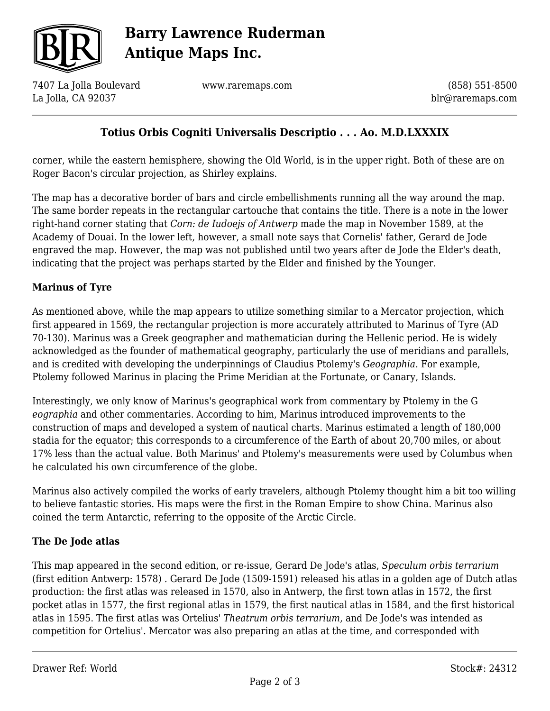

# **Barry Lawrence Ruderman Antique Maps Inc.**

7407 La Jolla Boulevard La Jolla, CA 92037

www.raremaps.com

(858) 551-8500 blr@raremaps.com

## **Totius Orbis Cogniti Universalis Descriptio . . . Ao. M.D.LXXXIX**

corner, while the eastern hemisphere, showing the Old World, is in the upper right. Both of these are on Roger Bacon's circular projection, as Shirley explains.

The map has a decorative border of bars and circle embellishments running all the way around the map. The same border repeats in the rectangular cartouche that contains the title. There is a note in the lower right-hand corner stating that *Corn: de Iudoejs of Antwerp* made the map in November 1589, at the Academy of Douai. In the lower left, however, a small note says that Cornelis' father, Gerard de Jode engraved the map. However, the map was not published until two years after de Jode the Elder's death, indicating that the project was perhaps started by the Elder and finished by the Younger.

#### **Marinus of Tyre**

As mentioned above, while the map appears to utilize something similar to a Mercator projection, which first appeared in 1569, the rectangular projection is more accurately attributed to Marinus of Tyre (AD 70-130). Marinus was a Greek geographer and mathematician during the Hellenic period. He is widely acknowledged as the founder of mathematical geography, particularly the use of meridians and parallels, and is credited with developing the underpinnings of Claudius Ptolemy's *Geographia*. For example, Ptolemy followed Marinus in placing the Prime Meridian at the Fortunate, or Canary, Islands.

Interestingly, we only know of Marinus's geographical work from commentary by Ptolemy in the G *eographia* and other commentaries. According to him, Marinus introduced improvements to the construction of maps and developed a system of nautical charts. Marinus estimated a length of 180,000 stadia for the equator; this corresponds to a circumference of the Earth of about 20,700 miles, or about 17% less than the actual value. Both Marinus' and Ptolemy's measurements were used by Columbus when he calculated his own circumference of the globe.

Marinus also actively compiled the works of early travelers, although Ptolemy thought him a bit too willing to believe fantastic stories. His maps were the first in the Roman Empire to show China. Marinus also coined the term Antarctic, referring to the opposite of the Arctic Circle.

### **The De Jode atlas**

This map appeared in the second edition, or re-issue, Gerard De Jode's atlas, *Speculum orbis terrarium* (first edition Antwerp: 1578) *.* Gerard De Jode (1509-1591) released his atlas in a golden age of Dutch atlas production: the first atlas was released in 1570, also in Antwerp, the first town atlas in 1572, the first pocket atlas in 1577, the first regional atlas in 1579, the first nautical atlas in 1584, and the first historical atlas in 1595. The first atlas was Ortelius' *Theatrum orbis terrarium*, and De Jode's was intended as competition for Ortelius'. Mercator was also preparing an atlas at the time, and corresponded with